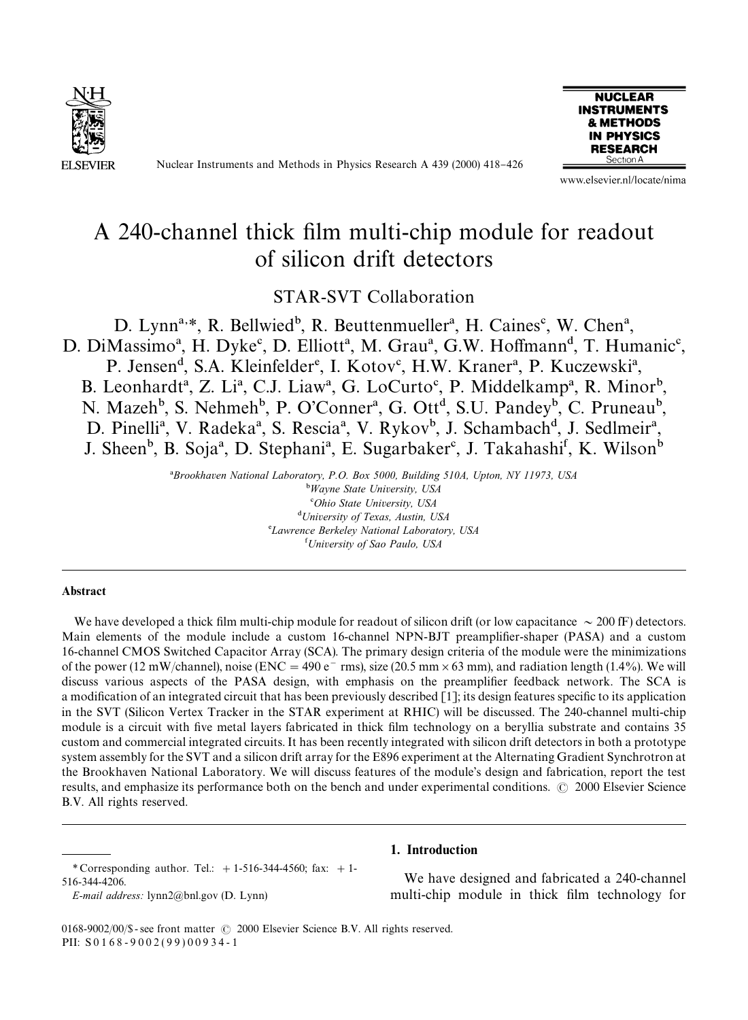

Nuclear Instruments and Methods in Physics Research A 439 (2000) 418-426



www.elsevier.nl/locate/nima

# A 240-channel thick film multi-chip module for readout of silicon drift detectors

STAR-SVT Collaboration

D. Lynn<sup>a,\*</sup>, R. Bellwied<sup>b</sup>, R. Beuttenmueller<sup>a</sup>, H. Caines<sup>c</sup>, W. Chen<sup>a</sup>, D. DiMassimo<sup>a</sup>, H. Dyke<sup>c</sup>, D. Elliott<sup>a</sup>, M. Grau<sup>a</sup>, G.W. Hoffmann<sup>d</sup>, T. Humanic<sup>c</sup>, P. Jensen<sup>d</sup>, S.A. Kleinfelder<sup>e</sup>, I. Kotov<sup>c</sup>, H.W. Kraner<sup>a</sup>, P. Kuczewski<sup>a</sup>,

B. Leonhardt<sup>a</sup>, Z. Li<sup>a</sup>, C.J. Liaw<sup>a</sup>, G. LoCurto<sup>c</sup>, P. Middelkamp<sup>a</sup>, R. Minor<sup>b</sup>, N. Mazeh<sup>b</sup>, S. Nehmeh<sup>b</sup>, P. O'Conner<sup>a</sup>, G. Ott<sup>d</sup>, S.U. Pandey<sup>b</sup>, C. Pruneau<sup>b</sup>, D. Pinelli<sup>a</sup>, V. Radeka<sup>a</sup>, S. Rescia<sup>a</sup>, V. Rykov<sup>b</sup>, J. Schambach<sup>d</sup>, J. Sedlmeir<sup>a</sup>, J. Sheen<sup>b</sup>, B. Soja<sup>a</sup>, D. Stephani<sup>a</sup>, E. Sugarbaker<sup>c</sup>, J. Takahashi<sup>f</sup>, K. Wilson<sup>b</sup>

> !*Brookhaven National Laboratory, P.O. Box 5000, Building 510A, Upton, NY 11973, USA* "*Wayne State University, USA* #*Ohio State University, USA* \$*University of Texas, Austin, USA* %*Lawrence Berkeley National Laboratory, USA* &*University of Sao Paulo, USA*

#### **Abstract**

We have developed a thick film multi-chip module for readout of silicon drift (or low capacitance  $\sim$  200 fF) detectors. Main elements of the module include a custom 16-channel NPN-BJT preamplifier-shaper (PASA) and a custom 16-channel CMOS Switched Capacitor Array (SCA). The primary design criteria of the module were the minimizations of the power (12 mW/channel), noise (ENC = 490 e<sup>-</sup> rms), size (20.5 mm  $\times$  63 mm), and radiation length (1.4%). We will discuss various aspects of the PASA design, with emphasis on the preamplifier feedback network. The SCA is a modification of an integrated circuit that has been previously described  $[1]$ ; its design features specific to its application in the SVT (Silicon Vertex Tracker in the STAR experiment at RHIC) will be discussed. The 240-channel multi-chip module is a circuit with five metal layers fabricated in thick film technology on a beryllia substrate and contains 35 custom and commercial integrated circuits. It has been recently integrated with silicon drift detectors in both a prototype system assembly for the SVT and a silicon drift array for the E896 experiment at the Alternating Gradient Synchrotron at the Brookhaven National Laboratory. We will discuss features of the module's design and fabrication, report the test results, and emphasize its performance both on the bench and under experimental conditions.  $\odot$  2000 Elsevier Science B.V. All rights reserved.

# 1. Introduction

We have designed and fabricated a 240-channel multi-chip module in thick film technology for

0168-9002/00/\$ - see front matter  $\odot$  2000 Elsevier Science B.V. All rights reserved. PII: S 0 1 6 8 - 9 0 0 2 ( 9 9 ) 0 0 9 3 4 - 1

*<sup>\*</sup>* Corresponding author. Tel.: #1-516-344-4560; fax: #1- 516-344-4206.

*E-mail address:* lynn2@bnl.gov (D. Lynn)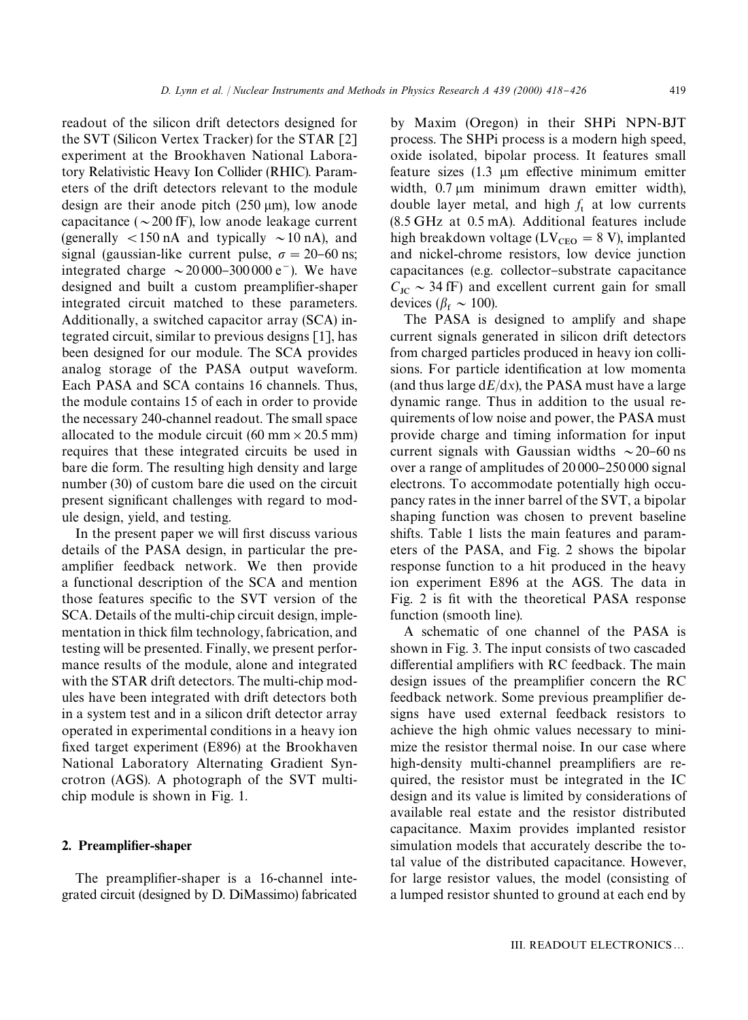readout of the silicon drift detectors designed for the SVT (Silicon Vertex Tracker) for the STAR [2] experiment at the Brookhaven National Laboratory Relativistic Heavy Ion Collider (RHIC). Parameters of the drift detectors relevant to the module design are their anode pitch  $(250 \text{ µm})$ , low anode capacitance ( $\sim$  200 fF), low anode leakage current (generally  $<$ 150 nA and typically  $\sim$ 10 nA), and signal (gaussian-like current pulse,  $\sigma = 20{\text -}60$  ns; integrated charge  $\sim$  20 000–300 000 e<sup>-</sup>). We have designed and built a custom preamplifier-shaper integrated circuit matched to these parameters. Additionally, a switched capacitor array (SCA) integrated circuit, similar to previous designs [1], has been designed for our module. The SCA provides analog storage of the PASA output waveform. Each PASA and SCA contains 16 channels. Thus, the module contains 15 of each in order to provide the necessary 240-channel readout. The small space allocated to the module circuit  $(60 \text{ mm} \times 20.5 \text{ mm})$ requires that these integrated circuits be used in bare die form. The resulting high density and large number (30) of custom bare die used on the circuit present significant challenges with regard to module design, yield, and testing.

In the present paper we will first discuss various details of the PASA design, in particular the preamplifier feedback network. We then provide a functional description of the SCA and mention those features specific to the SVT version of the SCA. Details of the multi-chip circuit design, implementation in thick film technology, fabrication, and testing will be presented. Finally, we present performance results of the module, alone and integrated with the STAR drift detectors. The multi-chip modules have been integrated with drift detectors both in a system test and in a silicon drift detector array operated in experimental conditions in a heavy ion fixed target experiment (E896) at the Brookhaven National Laboratory Alternating Gradient Syncrotron (AGS). A photograph of the SVT multichip module is shown in Fig. 1.

#### 2. Preamplifier-shaper

The preamplifier-shaper is a 16-channel integrated circuit (designed by D. DiMassimo) fabricated by Maxim (Oregon) in their SHPi NPN-BJT process. The SHPi process is a modern high speed, oxide isolated, bipolar process. It features small feature sizes  $(1.3 \text{ µm})$  effective minimum emitter width,  $0.7 \mu m$  minimum drawn emitter width), double layer metal, and high  $f_t$  at low currents (8.5 GHz at 0.5 mA). Additional features include high breakdown voltage ( $LV_{\text{CEO}} = 8 \text{ V}$ ), implanted and nickel-chrome resistors, low device junction capacitances (e.g. collector-substrate capacitance  $C_{\text{IC}} \sim 34 \text{ fF}$ ) and excellent current gain for small devices ( $\beta_f \sim 100$ ).

The PASA is designed to amplify and shape current signals generated in silicon drift detectors from charged particles produced in heavy ion collisions. For particle identification at low momenta (and thus large  $dE/dx$ ), the PASA must have a large dynamic range. Thus in addition to the usual requirements of low noise and power, the PASA must provide charge and timing information for input current signals with Gaussian widths  $\sim$  20–60 ns over a range of amplitudes of  $20000-250000$  signal electrons. To accommodate potentially high occupancy rates in the inner barrel of the SVT, a bipolar shaping function was chosen to prevent baseline shifts. Table 1 lists the main features and parameters of the PASA, and Fig. 2 shows the bipolar response function to a hit produced in the heavy ion experiment E896 at the AGS. The data in Fig. 2 is fit with the theoretical PASA response function (smooth line).

A schematic of one channel of the PASA is shown in Fig. 3. The input consists of two cascaded differential amplifiers with RC feedback. The main design issues of the preamplifier concern the RC feedback network. Some previous preamplifier designs have used external feedback resistors to achieve the high ohmic values necessary to minimize the resistor thermal noise. In our case where high-density multi-channel preamplifiers are required, the resistor must be integrated in the IC design and its value is limited by considerations of available real estate and the resistor distributed capacitance. Maxim provides implanted resistor simulation models that accurately describe the total value of the distributed capacitance. However, for large resistor values, the model (consisting of a lumped resistor shunted to ground at each end by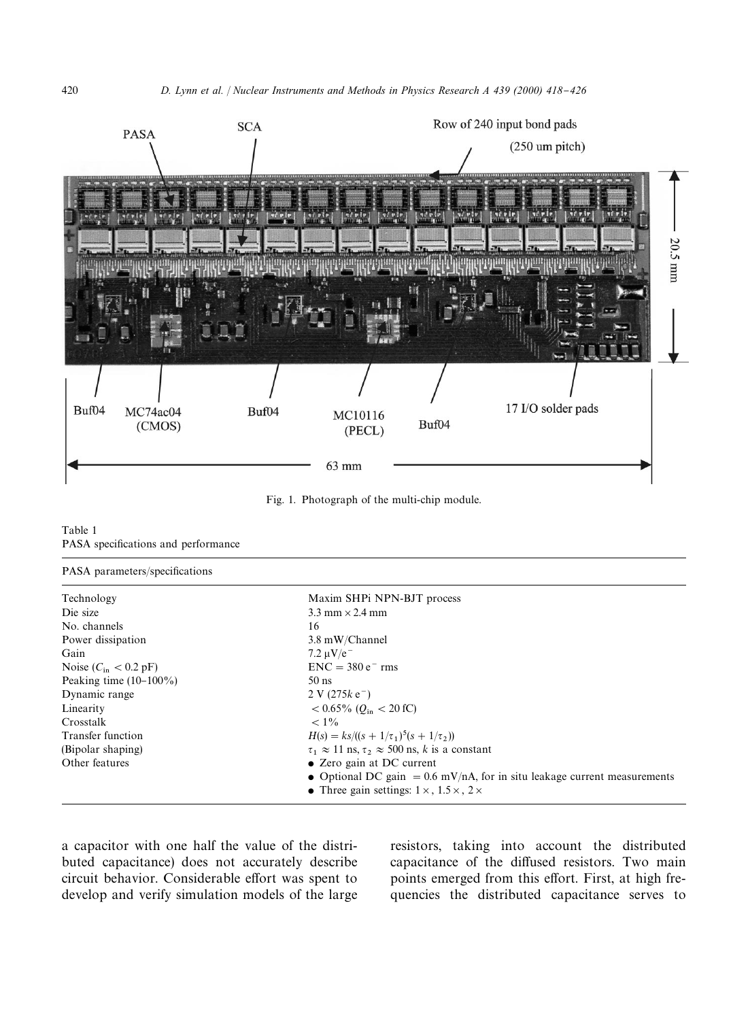

Fig. 1. Photograph of the multi-chip module.

Table 1 PASA specifications and performance

#### PASA parameters/specifications

| Technology                               | Maxim SHPi NPN-BJT process                                                 |
|------------------------------------------|----------------------------------------------------------------------------|
| Die size                                 | $3.3$ mm $\times$ 2.4 mm                                                   |
| No. channels                             | 16                                                                         |
| Power dissipation                        | 3.8 mW/Channel                                                             |
| Gain                                     | 7.2 $\mu$ V/e <sup>-</sup>                                                 |
| Noise $(C_{\text{in}} < 0.2 \text{ pF})$ | $ENC = 380 e^- rms$                                                        |
| Peaking time $(10-100\%)$                | $50$ ns                                                                    |
| Dynamic range                            | $2 V (275k e^{-})$                                                         |
| Linearity                                | $< 0.65\%$ ( $O_{\rm in} < 20$ fC)                                         |
| Crosstalk                                | $< 1\%$                                                                    |
| Transfer function                        | $H(s) = ks/((s + 1/\tau_1)^5(s + 1/\tau_2))$                               |
| (Bipolar shaping)                        | $\tau_1 \approx 11$ ns, $\tau_2 \approx 500$ ns, k is a constant           |
| Other features                           | • Zero gain at DC current                                                  |
|                                          | • Optional DC gain = $0.6$ mV/nA, for in situ leakage current measurements |
|                                          | • Three gain settings: $1 \times$ , $1.5 \times$ , $2 \times$              |

a capacitor with one half the value of the distributed capacitance) does not accurately describe circuit behavior. Considerable effort was spent to develop and verify simulation models of the large resistors, taking into account the distributed capacitance of the diffused resistors. Two main points emerged from this effort. First, at high frequencies the distributed capacitance serves to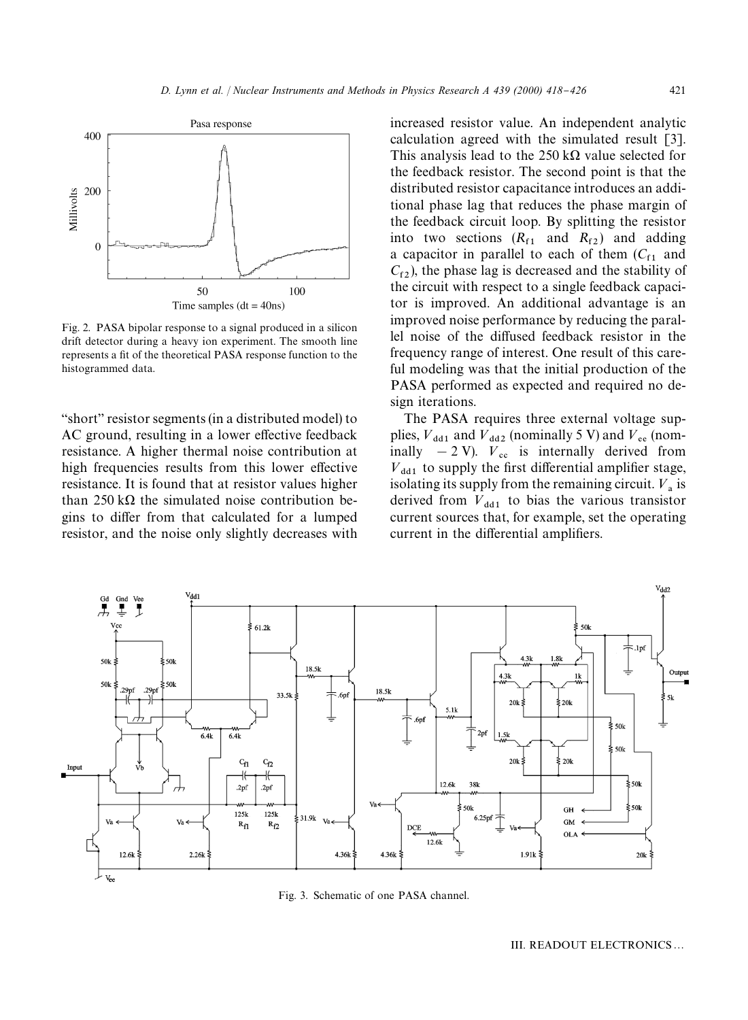

Fig. 2. PASA bipolar response to a signal produced in a silicon drift detector during a heavy ion experiment. The smooth line represents a fit of the theoretical PASA response function to the histogrammed data.

"short" resistor segments (in a distributed model) to AC ground, resulting in a lower effective feedback resistance. A higher thermal noise contribution at high frequencies results from this lower effective resistance. It is found that at resistor values higher than 250 k $\Omega$  the simulated noise contribution begins to differ from that calculated for a lumped resistor, and the noise only slightly decreases with increased resistor value. An independent analytic calculation agreed with the simulated result [3]. This analysis lead to the 250 k $\Omega$  value selected for the feedback resistor. The second point is that the distributed resistor capacitance introduces an additional phase lag that reduces the phase margin of the feedback circuit loop. By splitting the resistor into two sections  $(R<sub>f1</sub>$  and  $R<sub>f2</sub>$ ) and adding a capacitor in parallel to each of them  $(C_{f1}$  and  $C_{f2}$ ), the phase lag is decreased and the stability of the circuit with respect to a single feedback capacitor is improved. An additional advantage is an improved noise performance by reducing the parallel noise of the diffused feedback resistor in the frequency range of interest. One result of this careful modeling was that the initial production of the PASA performed as expected and required no design iterations.

The PASA requires three external voltage supplies,  $V_{dd1}$  and  $V_{dd2}$  (nominally 5 V) and  $V_{ee}$  (nominally  $-2$  V).  $V_{\text{cc}}$  is internally derived from  $V_{dd1}$  to supply the first differential amplifier stage, isolating its supply from the remaining circuit.  $V_a$  is derived from  $V_{dd1}$  to bias the various transistor current sources that, for example, set the operating current in the differential amplifiers.



Fig. 3. Schematic of one PASA channel.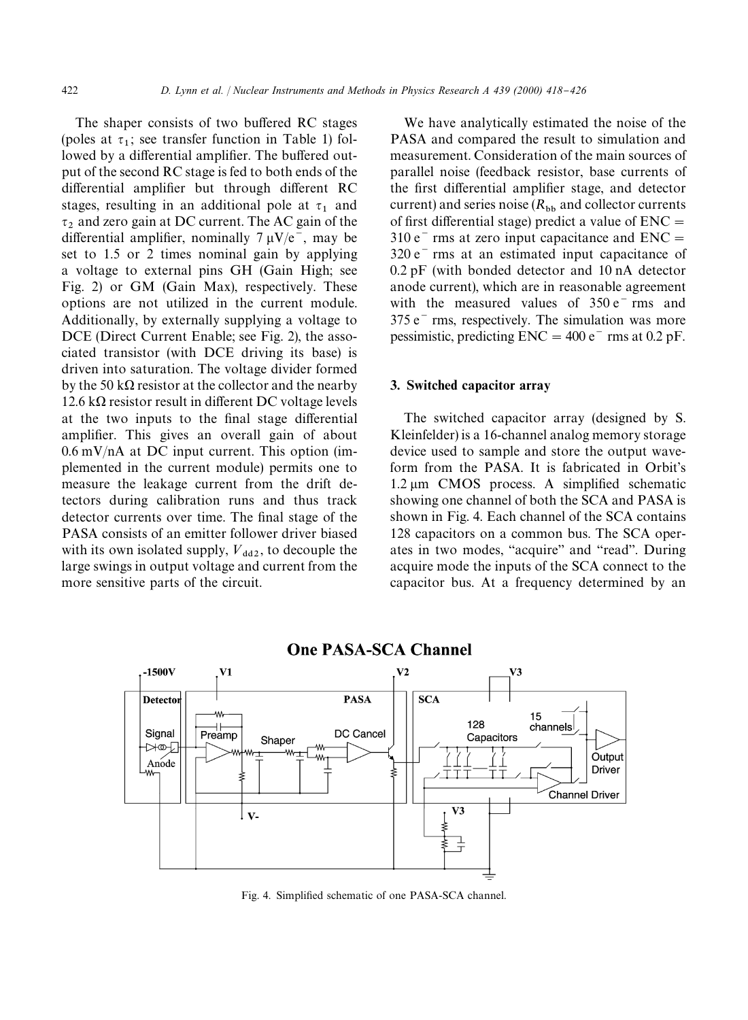The shaper consists of two buffered RC stages (poles at  $\tau_1$ ; see transfer function in Table 1) followed by a differential amplifier. The buffered output of the second RC stage is fed to both ends of the differential amplifier but through different RC stages, resulting in an additional pole at  $\tau_1$  and  $\tau_2$  and zero gain at DC current. The AC gain of the differential amplifier, nominally  $7 \mu V/e^-$ , may be set to 1.5 or 2 times nominal gain by applying a voltage to external pins GH (Gain High; see Fig. 2) or GM (Gain Max), respectively. These options are not utilized in the current module. Additionally, by externally supplying a voltage to DCE (Direct Current Enable; see Fig. 2), the associated transistor (with DCE driving its base) is driven into saturation. The voltage divider formed by the 50 k $\Omega$  resistor at the collector and the nearby  $12.6 \text{ k}\Omega$  resistor result in different DC voltage levels at the two inputs to the final stage differential amplifier. This gives an overall gain of about  $0.6 \text{ mV/nA}$  at DC input current. This option (implemented in the current module) permits one to measure the leakage current from the drift detectors during calibration runs and thus track detector currents over time. The final stage of the PASA consists of an emitter follower driver biased with its own isolated supply,  $V_{dd2}$ , to decouple the large swings in output voltage and current from the more sensitive parts of the circuit.

We have analytically estimated the noise of the PASA and compared the result to simulation and measurement. Consideration of the main sources of parallel noise (feedback resistor, base currents of the first differential amplifier stage, and detector current) and series noise  $(R_{\rm bh}$  and collector currents of first differential stage) predict a value of  $ENC =$  $310 e<sup>-</sup>$  rms at zero input capacitance and  $ENC =$  $320 e<sup>-</sup>$  rms at an estimated input capacitance of 0.2 pF (with bonded detector and 10 nA detector anode current), which are in reasonable agreement with the measured values of  $350 e^{-}$  rms and  $375 e<sup>-</sup>$  rms, respectively. The simulation was more pessimistic, predicting  $ENC = 400 e^-$  rms at 0.2 pF.

#### 3. Switched capacitor array

The switched capacitor array (designed by S. Kleinfelder) is a 16-channel analog memory storage device used to sample and store the output waveform from the PASA. It is fabricated in Orbit's  $1.2 \mu m$  CMOS process. A simplified schematic showing one channel of both the SCA and PASA is shown in Fig. 4. Each channel of the SCA contains 128 capacitors on a common bus. The SCA operates in two modes, "acquire" and "read". During acquire mode the inputs of the SCA connect to the capacitor bus. At a frequency determined by an



**One PASA-SCA Channel**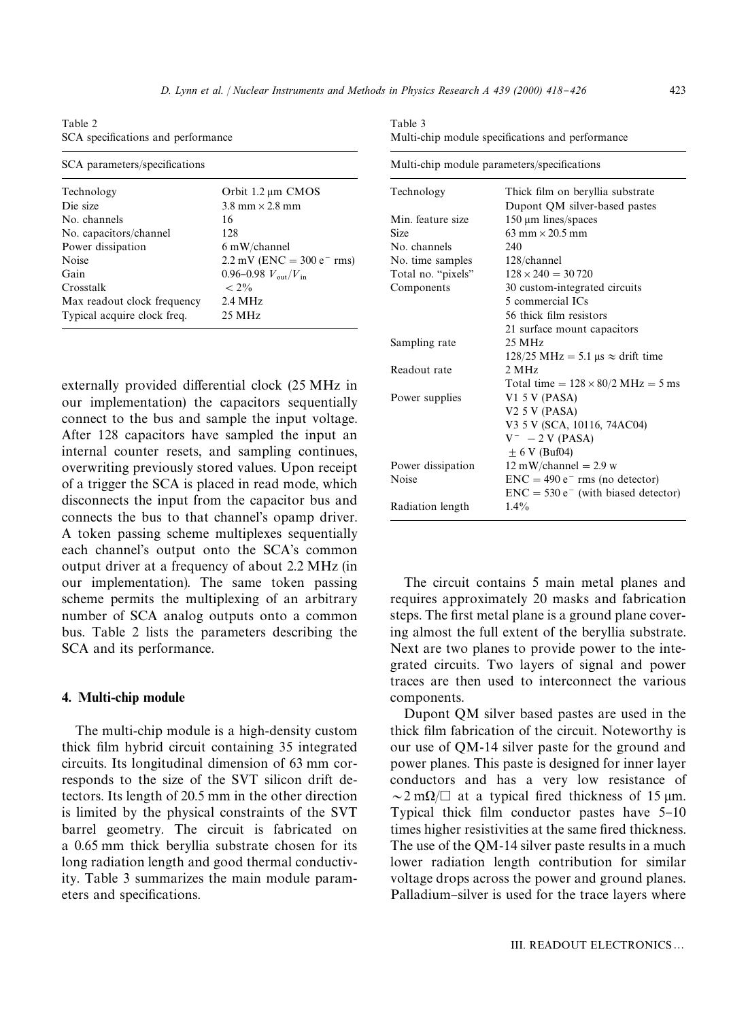Table 2 SCA specifications and performance

| SCA parameters/specifications |                                          |  |
|-------------------------------|------------------------------------------|--|
| Technology                    | Orbit $1.2 \mu m$ CMOS                   |  |
| Die size                      | $3.8$ mm $\times$ 2.8 mm                 |  |
| No. channels                  | 16                                       |  |
| No. capacitors/channel        | 128                                      |  |
| Power dissipation             | $6 \text{ mW/channel}$                   |  |
| Noise                         | $2.2$ mV (ENC = 300 e <sup>-</sup> rms)  |  |
| Gain                          | 0.96–0.98 $V_{\text{out}}/V_{\text{in}}$ |  |
| Crosstalk                     | $< 2\%$                                  |  |
| Max readout clock frequency   | $2.4 \text{ MHz}$                        |  |
| Typical acquire clock freq.   | $25 \text{ MHz}$                         |  |

externally provided differential clock (25 MHz in our implementation) the capacitors sequentially connect to the bus and sample the input voltage. After 128 capacitors have sampled the input an internal counter resets, and sampling continues, overwriting previously stored values. Upon receipt of a trigger the SCA is placed in read mode, which disconnects the input from the capacitor bus and connects the bus to that channel's opamp driver. A token passing scheme multiplexes sequentially each channel's output onto the SCA's common output driver at a frequency of about 2.2 MHz (in our implementation). The same token passing scheme permits the multiplexing of an arbitrary number of SCA analog outputs onto a common bus. Table 2 lists the parameters describing the SCA and its performance.

#### 4. Multi-chip module

The multi-chip module is a high-density custom thick film hybrid circuit containing 35 integrated circuits. Its longitudinal dimension of 63 mm corresponds to the size of the SVT silicon drift detectors. Its length of 20.5 mm in the other direction is limited by the physical constraints of the SVT barrel geometry. The circuit is fabricated on a 0.65 mm thick beryllia substrate chosen for its long radiation length and good thermal conductivity. Table 3 summarizes the main module parameters and specifications.

Table 3 Multi-chip module specifications and performance

| Multi-chip module parameters/specifications |                                                                          |  |
|---------------------------------------------|--------------------------------------------------------------------------|--|
| Technology                                  | Thick film on beryllia substrate                                         |  |
|                                             | Dupont QM silver-based pastes                                            |  |
| Min feature size                            | $150 \mu m$ lines/spaces                                                 |  |
| Size                                        | $63 \text{ mm} \times 20.5 \text{ mm}$                                   |  |
| No. channels                                | 240                                                                      |  |
| No. time samples                            | $128$ /channel                                                           |  |
| Total no. "pixels"                          | $128 \times 240 = 30720$                                                 |  |
| Components                                  | 30 custom-integrated circuits                                            |  |
|                                             | 5 commercial ICs                                                         |  |
|                                             | 56 thick film resistors                                                  |  |
|                                             | 21 surface mount capacitors                                              |  |
| Sampling rate                               | 25 MHz                                                                   |  |
|                                             | $128/25 \text{ MHz} = 5.1 \text{ }\mu\text{s} \approx \text{drift time}$ |  |
| Readout rate                                | 2 MHz                                                                    |  |
|                                             | Total time = $128 \times 80/2$ MHz = 5 ms                                |  |
| Power supplies                              | V <sub>1</sub> 5 V (PASA)                                                |  |
|                                             | V2 5 V (PASA)                                                            |  |
|                                             | V3 5 V (SCA, 10116, 74AC04)                                              |  |
|                                             | $V^- - 2 V (PASA)$                                                       |  |
|                                             | $\pm$ 6 V (Buf04)                                                        |  |
| Power dissipation                           | $12 \text{ mW/channel} = 2.9 \text{ w}$                                  |  |
| Noise                                       | $ENC = 490 e- rms (no detector)$                                         |  |
|                                             | $ENC = 530 e^-$ (with biased detector)                                   |  |
| Radiation length                            | $1.4\%$                                                                  |  |

The circuit contains 5 main metal planes and requires approximately 20 masks and fabrication steps. The first metal plane is a ground plane covering almost the full extent of the beryllia substrate. Next are two planes to provide power to the integrated circuits. Two layers of signal and power traces are then used to interconnect the various components.

Dupont QM silver based pastes are used in the thick film fabrication of the circuit. Noteworthy is our use of QM-14 silver paste for the ground and power planes. This paste is designed for inner layer conductors and has a very low resistance of  $\sim$ 2 m $\Omega$ / $\Box$  at a typical fired thickness of 15 µm. Typical thick film conductor pastes have  $5-10$ times higher resistivities at the same fired thickness. The use of the QM-14 silver paste results in a much lower radiation length contribution for similar voltage drops across the power and ground planes. Palladium-silver is used for the trace layers where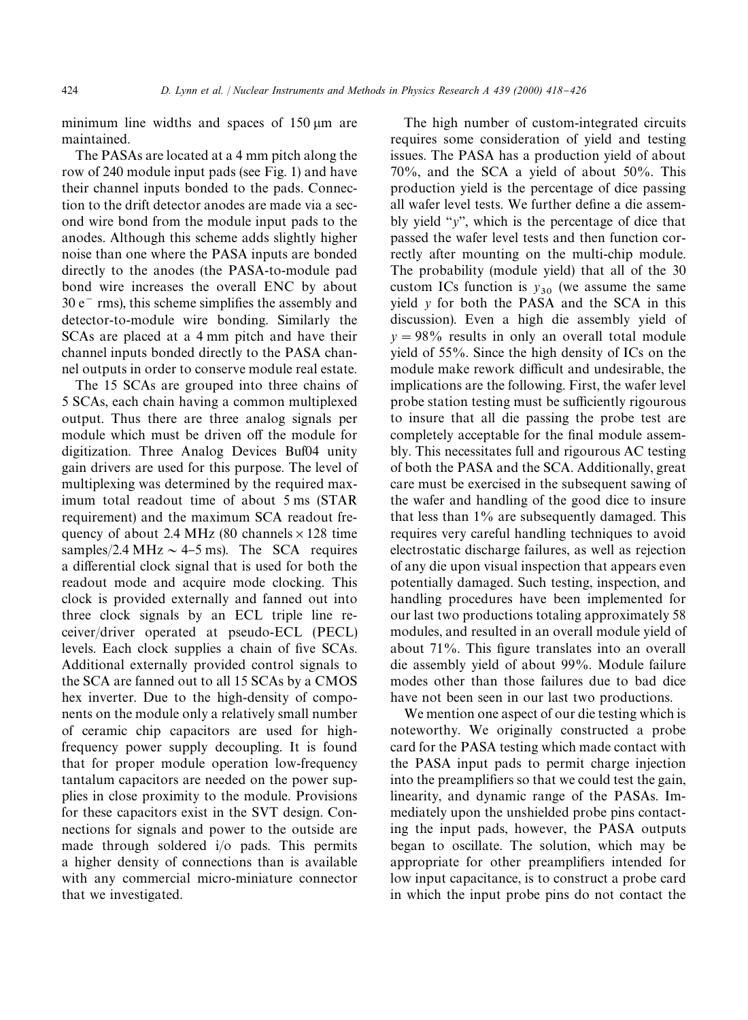minimum line widths and spaces of  $150 \mu m$  are maintained.

The PASAs are located at a 4 mm pitch along the row of 240 module input pads (see Fig. 1) and have their channel inputs bonded to the pads. Connection to the drift detector anodes are made via a second wire bond from the module input pads to the anodes. Although this scheme adds slightly higher noise than one where the PASA inputs are bonded directly to the anodes (the PASA-to-module pad bond wire increases the overall ENC by about  $30 e<sup>-</sup>$  rms), this scheme simplifies the assembly and detector-to-module wire bonding. Similarly the SCAs are placed at a 4 mm pitch and have their channel inputs bonded directly to the PASA channel outputs in order to conserve module real estate.

The 15 SCAs are grouped into three chains of 5 SCAs, each chain having a common multiplexed output. Thus there are three analog signals per module which must be driven off the module for digitization. Three Analog Devices Buf04 unity gain drivers are used for this purpose. The level of multiplexing was determined by the required maximum total readout time of about 5 ms (STAR requirement) and the maximum SCA readout frequency of about 2.4 MHz (80 channels  $\times$  128 time samples/2.4 MHz  $\sim$  4–5 ms). The SCA requires a differential clock signal that is used for both the readout mode and acquire mode clocking. This clock is provided externally and fanned out into three clock signals by an ECL triple line receiver/driver operated at pseudo-ECL (PECL) levels. Each clock supplies a chain of five SCAs. Additional externally provided control signals to the SCA are fanned out to all 15 SCAs by a CMOS hex inverter. Due to the high-density of components on the module only a relatively small number of ceramic chip capacitors are used for highfrequency power supply decoupling. It is found that for proper module operation low-frequency tantalum capacitors are needed on the power supplies in close proximity to the module. Provisions for these capacitors exist in the SVT design. Connections for signals and power to the outside are made through soldered i/o pads. This permits a higher density of connections than is available with any commercial micro-miniature connector that we investigated.

The high number of custom-integrated circuits requires some consideration of yield and testing issues. The PASA has a production yield of about 70%, and the SCA a yield of about 50%. This production yield is the percentage of dice passing all wafer level tests. We further define a die assembly yield  $\gamma$ <sup>"</sup>, which is the percentage of dice that passed the wafer level tests and then function correctly after mounting on the multi-chip module. The probability (module yield) that all of the 30 custom ICs function is  $y_{30}$  (we assume the same yield *y* for both the PASA and the SCA in this discussion). Even a high die assembly yield of  $y = 98\%$  results in only an overall total module yield of 55%. Since the high density of ICs on the module make rework difficult and undesirable, the implications are the following. First, the wafer level probe station testing must be sufficiently rigourous to insure that all die passing the probe test are completely acceptable for the final module assembly. This necessitates full and rigourous AC testing of both the PASA and the SCA. Additionally, great care must be exercised in the subsequent sawing of the wafer and handling of the good dice to insure that less than 1% are subsequently damaged. This requires very careful handling techniques to avoid electrostatic discharge failures, as well as rejection of any die upon visual inspection that appears even potentially damaged. Such testing, inspection, and handling procedures have been implemented for our last two productions totaling approximately 58 modules, and resulted in an overall module yield of about 71%. This figure translates into an overall die assembly yield of about 99%. Module failure modes other than those failures due to bad dice have not been seen in our last two productions.

We mention one aspect of our die testing which is noteworthy. We originally constructed a probe card for the PASA testing which made contact with the PASA input pads to permit charge injection into the preamplifiers so that we could test the gain, linearity, and dynamic range of the PASAs. Immediately upon the unshielded probe pins contacting the input pads, however, the PASA outputs began to oscillate. The solution, which may be appropriate for other preamplifiers intended for low input capacitance, is to construct a probe card in which the input probe pins do not contact the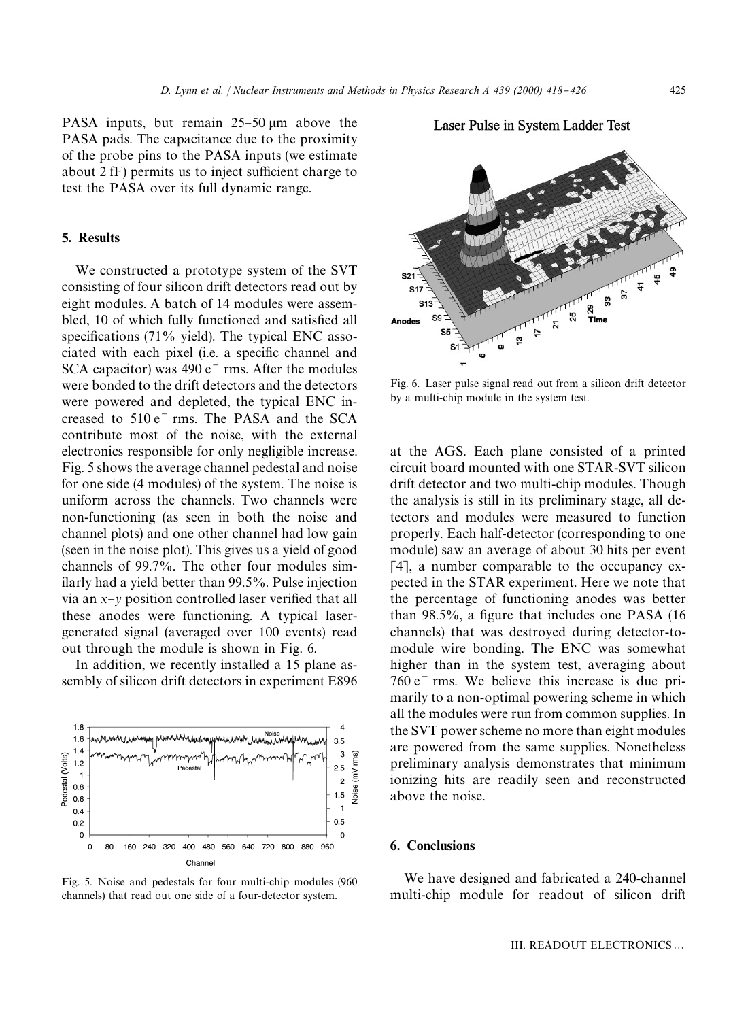PASA inputs, but remain  $25-50 \mu m$  above the PASA pads. The capacitance due to the proximity of the probe pins to the PASA inputs (we estimate about  $2$  fF) permits us to inject sufficient charge to test the PASA over its full dynamic range.

### 5. Results

We constructed a prototype system of the SVT consisting of four silicon drift detectors read out by eight modules. A batch of 14 modules were assembled, 10 of which fully functioned and satisfied all specifications  $(71\%$  yield). The typical ENC associated with each pixel (i.e. a specific channel and SCA capacitor) was  $490 e^{-}$  rms. After the modules were bonded to the drift detectors and the detectors were powered and depleted, the typical ENC increased to  $510 e^{-}$  rms. The PASA and the SCA contribute most of the noise, with the external electronics responsible for only negligible increase. Fig. 5 shows the average channel pedestal and noise for one side (4 modules) of the system. The noise is uniform across the channels. Two channels were non-functioning (as seen in both the noise and channel plots) and one other channel had low gain (seen in the noise plot). This gives us a yield of good channels of 99.7%. The other four modules similarly had a yield better than 99.5%. Pulse injection via an  $x$ <sup>*y*</sup> position controlled laser verified that all these anodes were functioning. A typical lasergenerated signal (averaged over 100 events) read out through the module is shown in Fig. 6.

In addition, we recently installed a 15 plane assembly of silicon drift detectors in experiment E896



Fig. 5. Noise and pedestals for four multi-chip modules (960 channels) that read out one side of a four-detector system.



Laser Pulse in System Ladder Test

Fig. 6. Laser pulse signal read out from a silicon drift detector by a multi-chip module in the system test.

at the AGS. Each plane consisted of a printed circuit board mounted with one STAR-SVT silicon drift detector and two multi-chip modules. Though the analysis is still in its preliminary stage, all detectors and modules were measured to function properly. Each half-detector (corresponding to one module) saw an average of about 30 hits per event [4], a number comparable to the occupancy expected in the STAR experiment. Here we note that the percentage of functioning anodes was better than  $98.5\%$ , a figure that includes one PASA (16) channels) that was destroyed during detector-tomodule wire bonding. The ENC was somewhat higher than in the system test, averaging about  $760 e<sup>-</sup>$  rms. We believe this increase is due primarily to a non-optimal powering scheme in which all the modules were run from common supplies. In the SVT power scheme no more than eight modules are powered from the same supplies. Nonetheless preliminary analysis demonstrates that minimum ionizing hits are readily seen and reconstructed above the noise.

#### 6. Conclusions

We have designed and fabricated a 240-channel multi-chip module for readout of silicon drift